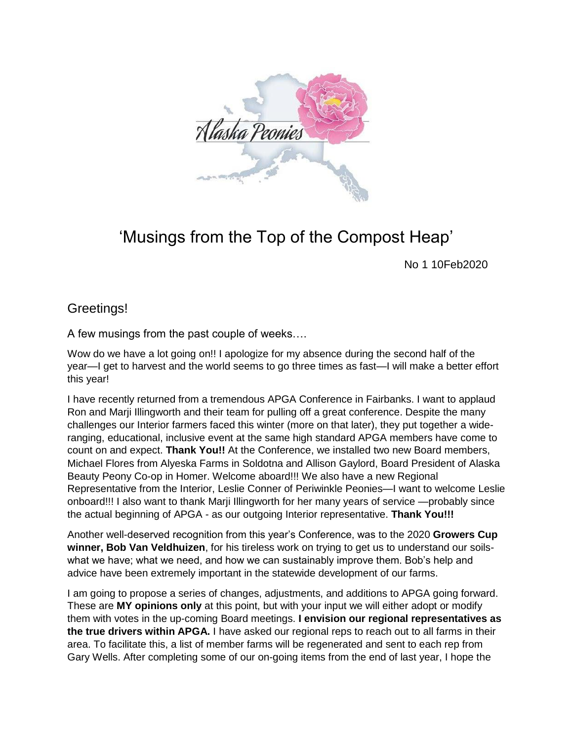

## 'Musings from the Top of the Compost Heap'

No 1 10Feb2020

## Greetings!

A few musings from the past couple of weeks….

Wow do we have a lot going on!! I apologize for my absence during the second half of the year—I get to harvest and the world seems to go three times as fast—I will make a better effort this year!

I have recently returned from a tremendous APGA Conference in Fairbanks. I want to applaud Ron and Marji Illingworth and their team for pulling off a great conference. Despite the many challenges our Interior farmers faced this winter (more on that later), they put together a wideranging, educational, inclusive event at the same high standard APGA members have come to count on and expect. **Thank You!!** At the Conference, we installed two new Board members, Michael Flores from Alyeska Farms in Soldotna and Allison Gaylord, Board President of Alaska Beauty Peony Co-op in Homer. Welcome aboard!!! We also have a new Regional Representative from the Interior, Leslie Conner of Periwinkle Peonies—I want to welcome Leslie onboard!!! I also want to thank Marji Illingworth for her many years of service —probably since the actual beginning of APGA - as our outgoing Interior representative. **Thank You!!!**

Another well-deserved recognition from this year's Conference, was to the 2020 **Growers Cup winner, Bob Van Veldhuizen**, for his tireless work on trying to get us to understand our soilswhat we have; what we need, and how we can sustainably improve them. Bob's help and advice have been extremely important in the statewide development of our farms.

I am going to propose a series of changes, adjustments, and additions to APGA going forward. These are **MY opinions only** at this point, but with your input we will either adopt or modify them with votes in the up-coming Board meetings. **I envision our regional representatives as the true drivers within APGA.** I have asked our regional reps to reach out to all farms in their area. To facilitate this, a list of member farms will be regenerated and sent to each rep from Gary Wells. After completing some of our on-going items from the end of last year, I hope the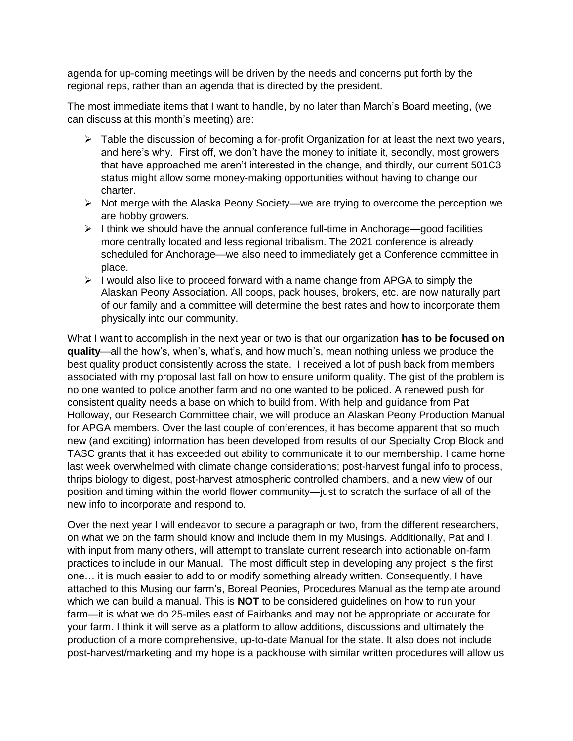agenda for up-coming meetings will be driven by the needs and concerns put forth by the regional reps, rather than an agenda that is directed by the president.

The most immediate items that I want to handle, by no later than March's Board meeting, (we can discuss at this month's meeting) are:

- $\triangleright$  Table the discussion of becoming a for-profit Organization for at least the next two years, and here's why. First off, we don't have the money to initiate it, secondly, most growers that have approached me aren't interested in the change, and thirdly, our current 501C3 status might allow some money-making opportunities without having to change our charter.
- $\triangleright$  Not merge with the Alaska Peony Society—we are trying to overcome the perception we are hobby growers.
- $\triangleright$  I think we should have the annual conference full-time in Anchorage—good facilities more centrally located and less regional tribalism. The 2021 conference is already scheduled for Anchorage—we also need to immediately get a Conference committee in place.
- $\triangleright$  I would also like to proceed forward with a name change from APGA to simply the Alaskan Peony Association. All coops, pack houses, brokers, etc. are now naturally part of our family and a committee will determine the best rates and how to incorporate them physically into our community.

What I want to accomplish in the next year or two is that our organization **has to be focused on quality**—all the how's, when's, what's, and how much's, mean nothing unless we produce the best quality product consistently across the state. I received a lot of push back from members associated with my proposal last fall on how to ensure uniform quality. The gist of the problem is no one wanted to police another farm and no one wanted to be policed. A renewed push for consistent quality needs a base on which to build from. With help and guidance from Pat Holloway, our Research Committee chair, we will produce an Alaskan Peony Production Manual for APGA members. Over the last couple of conferences, it has become apparent that so much new (and exciting) information has been developed from results of our Specialty Crop Block and TASC grants that it has exceeded out ability to communicate it to our membership. I came home last week overwhelmed with climate change considerations; post-harvest fungal info to process, thrips biology to digest, post-harvest atmospheric controlled chambers, and a new view of our position and timing within the world flower community—just to scratch the surface of all of the new info to incorporate and respond to.

Over the next year I will endeavor to secure a paragraph or two, from the different researchers, on what we on the farm should know and include them in my Musings. Additionally, Pat and I, with input from many others, will attempt to translate current research into actionable on-farm practices to include in our Manual. The most difficult step in developing any project is the first one… it is much easier to add to or modify something already written. Consequently, I have attached to this Musing our farm's, Boreal Peonies, Procedures Manual as the template around which we can build a manual. This is **NOT** to be considered guidelines on how to run your farm—it is what we do 25-miles east of Fairbanks and may not be appropriate or accurate for your farm. I think it will serve as a platform to allow additions, discussions and ultimately the production of a more comprehensive, up-to-date Manual for the state. It also does not include post-harvest/marketing and my hope is a packhouse with similar written procedures will allow us